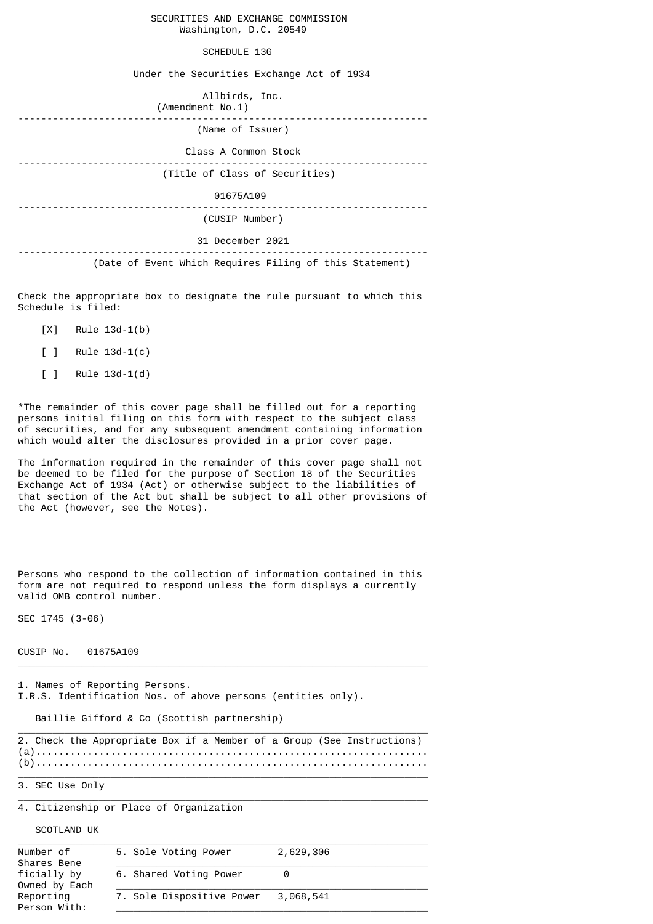|  |                        | SECURITIES AND EXCHANGE COMMISSION |
|--|------------------------|------------------------------------|
|  | Washington, D.C. 20549 |                                    |

## SCHEDULE 13G

Under the Securities Exchange Act of 1934

| Allbirds, Inc.<br>(Amendment No.1)                      |  |  |  |  |
|---------------------------------------------------------|--|--|--|--|
| (Name of Issuer)                                        |  |  |  |  |
| Class A Common Stock                                    |  |  |  |  |
| (Title of Class of Securities)                          |  |  |  |  |
| 01675A109                                               |  |  |  |  |
| (CUSIP Number)                                          |  |  |  |  |
| 31 December 2021                                        |  |  |  |  |
| (Date of Event Which Requires Filing of this Statement) |  |  |  |  |

Check the appropriate box to designate the rule pursuant to which this Schedule is filed:

- [X] Rule 13d-1(b)
- [ ] Rule 13d-1(c)
- [ ] Rule 13d-1(d)

\*The remainder of this cover page shall be filled out for a reporting persons initial filing on this form with respect to the subject class of securities, and for any subsequent amendment containing information which would alter the disclosures provided in a prior cover page.

The information required in the remainder of this cover page shall not be deemed to be filed for the purpose of Section 18 of the Securities Exchange Act of 1934 (Act) or otherwise subject to the liabilities of that section of the Act but shall be subject to all other provisions of the Act (however, see the Notes).

Persons who respond to the collection of information contained in this form are not required to respond unless the form displays a currently valid OMB control number.

SEC 1745 (3-06)

## CUSIP No. 01675A109

1. Names of Reporting Persons. I.R.S. Identification Nos. of above persons (entities only).

Baillie Gifford & Co (Scottish partnership)

|  |  |  |  |  | 2. Check the Appropriate Box if a Member of a Group (See Instructions) |
|--|--|--|--|--|------------------------------------------------------------------------|
|  |  |  |  |  |                                                                        |
|  |  |  |  |  |                                                                        |

 $\_$  , and the set of the set of the set of the set of the set of the set of the set of the set of the set of the set of the set of the set of the set of the set of the set of the set of the set of the set of the set of th

 $\_$  , and the set of the set of the set of the set of the set of the set of the set of the set of the set of the set of the set of the set of the set of the set of the set of the set of the set of the set of the set of th

 $\_$  , and the set of the set of the set of the set of the set of the set of the set of the set of the set of the set of the set of the set of the set of the set of the set of the set of the set of the set of the set of th

3. SEC Use Only

4. Citizenship or Place of Organization

SCOTLAND UK

| Number of<br>Shares Bene     | 5. Sole Voting Power      | 2,629,306 |  |  |
|------------------------------|---------------------------|-----------|--|--|
| ficially by<br>Owned by Each | 6. Shared Voting Power    |           |  |  |
| Reporting<br>Person With:    | 7. Sole Dispositive Power | 3,068,541 |  |  |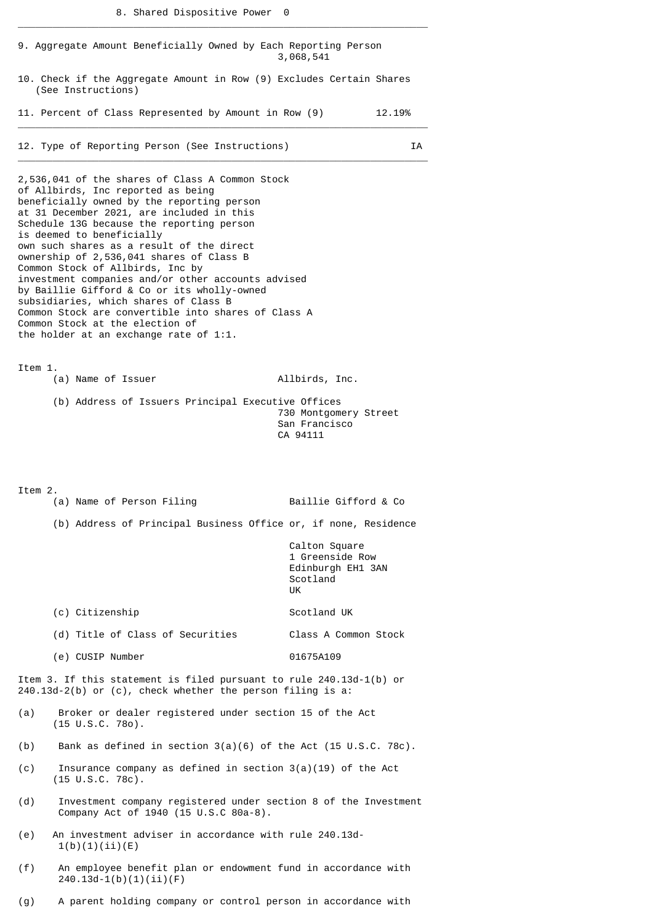\_\_\_\_\_\_\_\_\_\_\_\_\_\_\_\_\_\_\_\_\_\_\_\_\_\_\_\_\_\_\_\_\_\_\_\_\_\_\_\_\_\_\_\_\_\_\_\_\_\_\_\_\_\_\_\_\_\_\_\_\_\_\_\_\_\_\_\_\_\_\_

|         | 9. Aggregate Amount Beneficially Owned by Each Reporting Person                                                                                                                                                                                                                                                                                                                                                                                                                                                                                                                                                                                                           | 3,068,541                                                               |  |  |  |  |
|---------|---------------------------------------------------------------------------------------------------------------------------------------------------------------------------------------------------------------------------------------------------------------------------------------------------------------------------------------------------------------------------------------------------------------------------------------------------------------------------------------------------------------------------------------------------------------------------------------------------------------------------------------------------------------------------|-------------------------------------------------------------------------|--|--|--|--|
|         | 10. Check if the Aggregate Amount in Row (9) Excludes Certain Shares<br>(See Instructions)                                                                                                                                                                                                                                                                                                                                                                                                                                                                                                                                                                                |                                                                         |  |  |  |  |
|         | 11. Percent of Class Represented by Amount in Row (9)                                                                                                                                                                                                                                                                                                                                                                                                                                                                                                                                                                                                                     | 12.19%                                                                  |  |  |  |  |
|         | 12. Type of Reporting Person (See Instructions)                                                                                                                                                                                                                                                                                                                                                                                                                                                                                                                                                                                                                           | ΙA                                                                      |  |  |  |  |
|         | 2,536,041 of the shares of Class A Common Stock<br>of Allbirds, Inc reported as being<br>beneficially owned by the reporting person<br>at 31 December 2021, are included in this<br>Schedule 13G because the reporting person<br>is deemed to beneficially<br>own such shares as a result of the direct<br>ownership of 2,536,041 shares of Class B<br>Common Stock of Allbirds, Inc by<br>investment companies and/or other accounts advised<br>by Baillie Gifford & Co or its wholly-owned<br>subsidiaries, which shares of Class B<br>Common Stock are convertible into shares of Class A<br>Common Stock at the election of<br>the holder at an exchange rate of 1:1. |                                                                         |  |  |  |  |
| Item 1. | (a) Name of Issuer                                                                                                                                                                                                                                                                                                                                                                                                                                                                                                                                                                                                                                                        | Allbirds, Inc.                                                          |  |  |  |  |
|         | (b) Address of Issuers Principal Executive Offices                                                                                                                                                                                                                                                                                                                                                                                                                                                                                                                                                                                                                        | 730 Montgomery Street<br>San Francisco<br>CA 94111                      |  |  |  |  |
| Item 2. | (a) Name of Person Filing                                                                                                                                                                                                                                                                                                                                                                                                                                                                                                                                                                                                                                                 | Baillie Gifford & Co                                                    |  |  |  |  |
|         | (b) Address of Principal Business Office or, if none, Residence                                                                                                                                                                                                                                                                                                                                                                                                                                                                                                                                                                                                           |                                                                         |  |  |  |  |
|         |                                                                                                                                                                                                                                                                                                                                                                                                                                                                                                                                                                                                                                                                           | Calton Square<br>1 Greenside Row<br>Edinburgh EH1 3AN<br>Scotland<br>UK |  |  |  |  |
|         | (c) Citizenship                                                                                                                                                                                                                                                                                                                                                                                                                                                                                                                                                                                                                                                           | Scotland UK                                                             |  |  |  |  |
|         | (d) Title of Class of Securities                                                                                                                                                                                                                                                                                                                                                                                                                                                                                                                                                                                                                                          | Class A Common Stock                                                    |  |  |  |  |
|         | (e) CUSIP Number                                                                                                                                                                                                                                                                                                                                                                                                                                                                                                                                                                                                                                                          | 01675A109                                                               |  |  |  |  |
|         | Item 3. If this statement is filed pursuant to rule 240.13d-1(b) or<br>$240.13d-2(b)$ or (c), check whether the person filing is a:                                                                                                                                                                                                                                                                                                                                                                                                                                                                                                                                       |                                                                         |  |  |  |  |
| (a)     | Broker or dealer registered under section 15 of the Act<br>$(15 \cup S.C. 780)$ .                                                                                                                                                                                                                                                                                                                                                                                                                                                                                                                                                                                         |                                                                         |  |  |  |  |
| (b)     | Bank as defined in section $3(a)(6)$ of the Act (15 U.S.C. 78c).                                                                                                                                                                                                                                                                                                                                                                                                                                                                                                                                                                                                          |                                                                         |  |  |  |  |
| (c)     | Insurance company as defined in section $3(a)(19)$ of the Act<br>$(15 \tU.S.C. 78c)$ .                                                                                                                                                                                                                                                                                                                                                                                                                                                                                                                                                                                    |                                                                         |  |  |  |  |
| (d)     | Investment company registered under section 8 of the Investment<br>Company Act of 1940 (15 U.S.C 80a-8).                                                                                                                                                                                                                                                                                                                                                                                                                                                                                                                                                                  |                                                                         |  |  |  |  |
| (e)     | An investment adviser in accordance with rule 240.13d-<br>1(b)(1)(ii)(E)                                                                                                                                                                                                                                                                                                                                                                                                                                                                                                                                                                                                  |                                                                         |  |  |  |  |
| (f)     | An employee benefit plan or endowment fund in accordance with<br>$240.13d-1(b)(1)(ii)(F)$                                                                                                                                                                                                                                                                                                                                                                                                                                                                                                                                                                                 |                                                                         |  |  |  |  |

(g) A parent holding company or control person in accordance with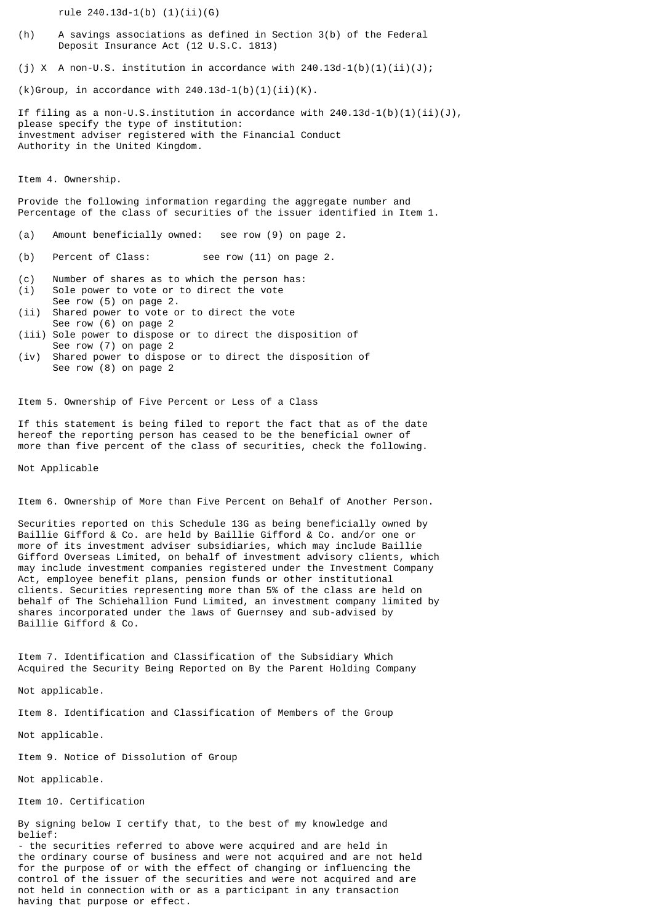rule 240.13d-1(b) (1)(ii)(G)

- (h) A savings associations as defined in Section 3(b) of the Federal Deposit Insurance Act (12 U.S.C. 1813)
- (i) X A non-U.S. institution in accordance with  $240.13d-1(b)(1)(ii)(J);$

 $(k)$ Group, in accordance with 240.13d-1(b)(1)(ii)(K).

If filing as a non-U.S.institution in accordance with  $240.13d-1(b)(1)(ii)(J)$ , please specify the type of institution: investment adviser registered with the Financial Conduct Authority in the United Kingdom.

Item 4. Ownership.

Provide the following information regarding the aggregate number and Percentage of the class of securities of the issuer identified in Item 1.

- (a) Amount beneficially owned: see row (9) on page 2.
- (b) Percent of Class: see row (11) on page 2.
- (c) Number of shares as to which the person has:
- (i) Sole power to vote or to direct the vote See row (5) on page 2.
- (ii) Shared power to vote or to direct the vote See row (6) on page 2
- (iii) Sole power to dispose or to direct the disposition of See row (7) on page 2
- (iv) Shared power to dispose or to direct the disposition of See row (8) on page 2

Item 5. Ownership of Five Percent or Less of a Class

If this statement is being filed to report the fact that as of the date hereof the reporting person has ceased to be the beneficial owner of more than five percent of the class of securities, check the following.

Not Applicable

Item 6. Ownership of More than Five Percent on Behalf of Another Person.

Securities reported on this Schedule 13G as being beneficially owned by Baillie Gifford & Co. are held by Baillie Gifford & Co. and/or one or more of its investment adviser subsidiaries, which may include Baillie Gifford Overseas Limited, on behalf of investment advisory clients, which may include investment companies registered under the Investment Company Act, employee benefit plans, pension funds or other institutional clients. Securities representing more than 5% of the class are held on behalf of The Schiehallion Fund Limited, an investment company limited by shares incorporated under the laws of Guernsey and sub-advised by Baillie Gifford & Co.

Item 7. Identification and Classification of the Subsidiary Which Acquired the Security Being Reported on By the Parent Holding Company

Not applicable.

Item 8. Identification and Classification of Members of the Group

Not applicable.

Item 9. Notice of Dissolution of Group

Not applicable.

Item 10. Certification

By signing below I certify that, to the best of my knowledge and belief:

- the securities referred to above were acquired and are held in the ordinary course of business and were not acquired and are not held for the purpose of or with the effect of changing or influencing the control of the issuer of the securities and were not acquired and are not held in connection with or as a participant in any transaction having that purpose or effect.